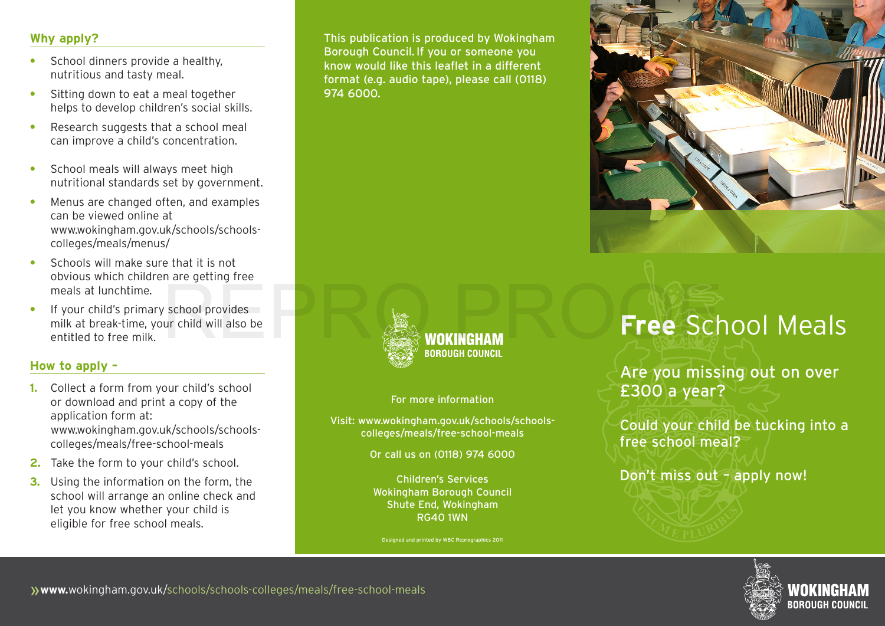# **Why apply?**

- **•** School dinners provide a healthy, nutritious and tasty meal.
- **•** Sitting down to eat a meal together helps to develop children's social skills.
- **•** Research suggests that a school meal can improve a child's concentration.
- **•** School meals will always meet high nutritional standards set by government.
- **•** Menus are changed often, and examples can be viewed online at www.wokingham.gov.uk/schools/schoolscolleges/meals/menus/
- **•** Schools will make sure that it is not obvious which children are getting free meals at lunchtime.
- **•** If your child's primary school provides milk at break-time, your child will also be entitled to free milk.

### **How to apply –**

- **1.** Collect a form from your child's school or download and print a copy of the application form at: www.wokingham.gov.uk/schools/schoolscolleges/meals/free-school-meals
- **2.** Take the form to your child's school.
- **3.** Using the information on the form, the school will arrange an online check and let you know whether your child is eligible for free school meals.

This publication is produced by Wokingham Borough Council.If you or someone you know would like this leaflet in a different format (e.g. audio tape), please call (0118) 974 6000.



#### For more information

Visit: www.wokingham.gov.uk/schools/schoolscolleges/meals/free-school-meals

Or call us on (0118) 974 6000

Children's Services Wokingham Borough Council Shute End, Wokingham RG40 1WN

Designed and printed by WBC Reprographics 2011



# **Free** School Meals

Are you missing out on over £300 a year?

Could your child be tucking into a free school meal?

Don't miss out – apply now!